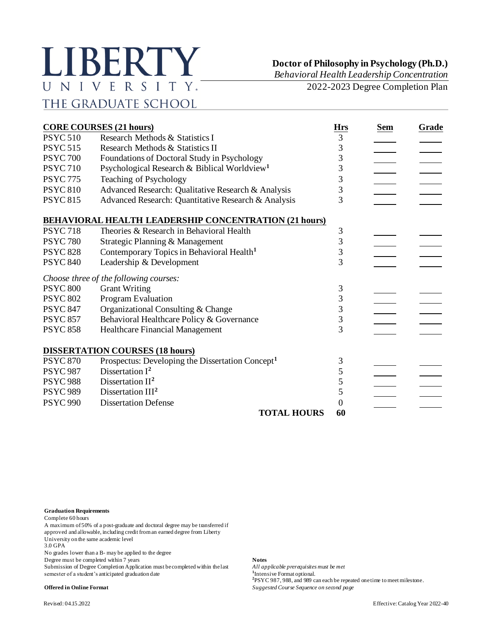## LIBERTY UNIVERSITY. THE GRADUATE SCHOOL

**Doctor of Philosophy in Psychology (Ph.D.)**

*Behavioral Health Leadership Concentration*

2022-2023 Degree Completion Plan

| <b>CORE COURSES (21 hours)</b> |                                                              |                 | <b>Sem</b> | Grade |
|--------------------------------|--------------------------------------------------------------|-----------------|------------|-------|
| <b>PSYC 510</b>                | Research Methods & Statistics I                              | <b>Hrs</b><br>3 |            |       |
| <b>PSYC 515</b>                | Research Methods & Statistics II                             | 3               |            |       |
| <b>PSYC 700</b>                | Foundations of Doctoral Study in Psychology                  | 3               |            |       |
| <b>PSYC710</b>                 | Psychological Research & Biblical Worldview <sup>1</sup>     | 3               |            |       |
| <b>PSYC 775</b>                | Teaching of Psychology                                       | 3               |            |       |
| <b>PSYC 810</b>                | Advanced Research: Qualitative Research & Analysis           | 3               |            |       |
| <b>PSYC 815</b>                | Advanced Research: Quantitative Research & Analysis          | 3               |            |       |
|                                | <b>BEHAVIORAL HEALTH LEADERSHIP CONCENTRATION (21 hours)</b> |                 |            |       |
| <b>PSYC 718</b>                | Theories & Research in Behavioral Health                     | 3               |            |       |
| <b>PSYC 780</b>                | Strategic Planning & Management                              | 3               |            |       |
| <b>PSYC 828</b>                | Contemporary Topics in Behavioral Health <sup>1</sup>        | 3               |            |       |
| <b>PSYC 840</b>                | Leadership & Development                                     | $\overline{3}$  |            |       |
|                                | Choose three of the following courses:                       |                 |            |       |
| <b>PSYC 800</b>                | <b>Grant Writing</b>                                         | 3               |            |       |
| <b>PSYC 802</b>                | Program Evaluation                                           | 3               |            |       |
| <b>PSYC 847</b>                | Organizational Consulting & Change                           | 3               |            |       |
| <b>PSYC 857</b>                | Behavioral Healthcare Policy & Governance                    | 3               |            |       |
| <b>PSYC 858</b>                | Healthcare Financial Management                              | $\overline{3}$  |            |       |
|                                | <b>DISSERTATION COURSES (18 hours)</b>                       |                 |            |       |
| <b>PSYC 870</b>                | Prospectus: Developing the Dissertation Concept <sup>1</sup> | 3               |            |       |
| <b>PSYC 987</b>                | Dissertation $I^2$                                           | 5               |            |       |
| <b>PSYC 988</b>                | Dissertation $II2$                                           | 5               |            |       |
| <b>PSYC 989</b>                | Dissertation III <sup>2</sup>                                | 5               |            |       |
| <b>PSYC 990</b>                | <b>Dissertation Defense</b>                                  | $\Omega$        |            |       |
|                                | <b>TOTAL HOURS</b>                                           | 60              |            |       |

**Graduation Requirements**

Complete 60 hours

A maximum of 50% of a post-graduate and doctoral degree may be transferred if approved and allowable, including credit from an earned degree from Liberty

University on the same academic level

3.0 GPA

No grades lower than a B- may be applied to the degree

Degree must be completed within 7 years **Notes**

Submission of Degree Completion Application must be completed within the last *All applicable prerequisites must be met* semester of a student's anticipated graduation date

Intensive Format optional. **2** PSYC 987, 988, and 989 can each be repeated one time to meet milestone. **Offered in Online Format** *Suggested Course Sequence on second page*